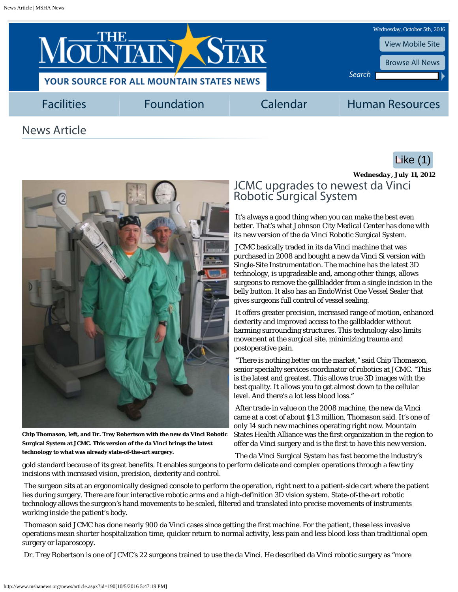<span id="page-0-0"></span>

**Chip Thomason, left, and Dr. Trey Robertson with the new da Vinci Robotic Surgical System at JCMC. This version of the da Vinci brings the latest technology to what was already state-of-the-art surgery.**

*Wednesday, July 11, 2012* JCMC upgrades to newest da Vinci Robotic Surgical System

**Like (1)** 

It's always a good thing when you can make the best even better. That's what Johnson City Medical Center has done with its new version of the da Vinci Robotic Surgical System.

JCMC basically traded in its da Vinci machine that was purchased in 2008 and bought a new da Vinci Si version with Single-Site Instrumentation. The machine has the latest 3D technology, is upgradeable and, among other things, allows surgeons to remove the gallbladder from a single incision in the belly button. It also has an EndoWrist One Vessel Sealer that gives surgeons full control of vessel sealing.

It offers greater precision, increased range of motion, enhanced dexterity and improved access to the gallbladder without harming surrounding structures. This technology also limits movement at the surgical site, minimizing trauma and postoperative pain.

"There is nothing better on the market," said Chip Thomason, senior specialty services coordinator of robotics at JCMC. "This is the latest and greatest. This allows true 3D images with the best quality. It allows you to get almost down to the cellular level. And there's a lot less blood loss."

After trade-in value on the 2008 machine, the new da Vinci came at a cost of about \$1.3 million, Thomason said. It's one of only 14 such new machines operating right now. Mountain States Health Alliance was the first organization in the region to offer da Vinci surgery and is the first to have this new version.

The da Vinci Surgical System has fast become the industry's

gold standard because of its great benefits. It enables surgeons to perform delicate and complex operations through a few tiny incisions with increased vision, precision, dexterity and control.

The surgeon sits at an ergonomically designed console to perform the operation, right next to a patient-side cart where the patient lies during surgery. There are four interactive robotic arms and a high-definition 3D vision system. State-of-the-art robotic technology allows the surgeon's hand movements to be scaled, filtered and translated into precise movements of instruments working inside the patient's body.

Thomason said JCMC has done nearly 900 da Vinci cases since getting the first machine. For the patient, these less invasive operations mean shorter hospitalization time, quicker return to normal activity, less pain and less blood loss than traditional open surgery or laparoscopy.

Dr. Trey Robertson is one of JCMC's 22 surgeons trained to use the da Vinci. He described da Vinci robotic surgery as "more